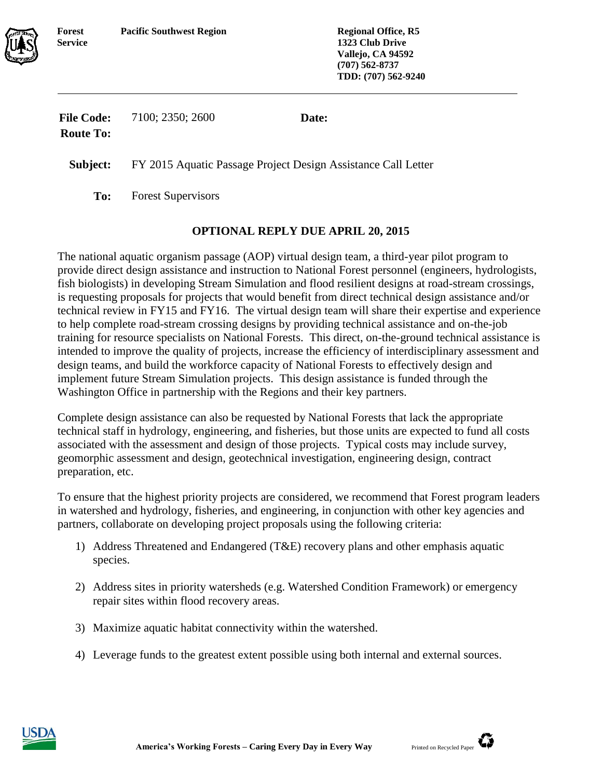

**1323 Club Drive Vallejo, CA 94592 (707) 562-8737 TDD: (707) 562-9240**

| <b>File Code:</b> | 7100; 2350; 2600 | Date: |
|-------------------|------------------|-------|
| <b>Route To:</b>  |                  |       |

**Subject:** FY 2015 Aquatic Passage Project Design Assistance Call Letter

**To:** Forest Supervisors

## **OPTIONAL REPLY DUE APRIL 20, 2015**

The national aquatic organism passage (AOP) virtual design team, a third-year pilot program to provide direct design assistance and instruction to National Forest personnel (engineers, hydrologists, fish biologists) in developing Stream Simulation and flood resilient designs at road-stream crossings, is requesting proposals for projects that would benefit from direct technical design assistance and/or technical review in FY15 and FY16. The virtual design team will share their expertise and experience to help complete road-stream crossing designs by providing technical assistance and on-the-job training for resource specialists on National Forests. This direct, on-the-ground technical assistance is intended to improve the quality of projects, increase the efficiency of interdisciplinary assessment and design teams, and build the workforce capacity of National Forests to effectively design and implement future Stream Simulation projects. This design assistance is funded through the Washington Office in partnership with the Regions and their key partners.

Complete design assistance can also be requested by National Forests that lack the appropriate technical staff in hydrology, engineering, and fisheries, but those units are expected to fund all costs associated with the assessment and design of those projects. Typical costs may include survey, geomorphic assessment and design, geotechnical investigation, engineering design, contract preparation, etc.

To ensure that the highest priority projects are considered, we recommend that Forest program leaders in watershed and hydrology, fisheries, and engineering, in conjunction with other key agencies and partners, collaborate on developing project proposals using the following criteria:

- 1) Address Threatened and Endangered (T&E) recovery plans and other emphasis aquatic species.
- 2) Address sites in priority watersheds (e.g. Watershed Condition Framework) or emergency repair sites within flood recovery areas.
- 3) Maximize aquatic habitat connectivity within the watershed.
- 4) Leverage funds to the greatest extent possible using both internal and external sources.